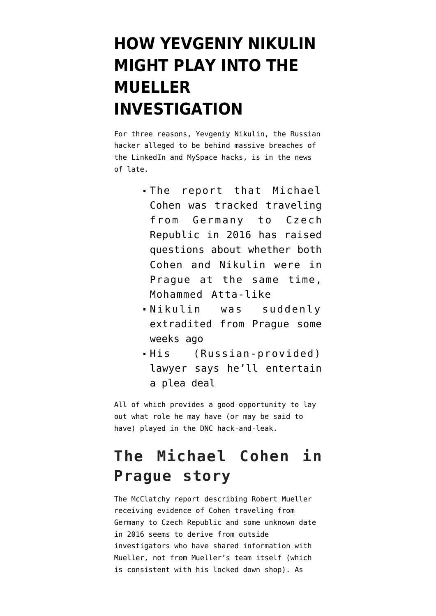# **[HOW YEVGENIY NIKULIN](https://www.emptywheel.net/2018/04/14/how-yevgeniy-nikulin-might-play-into-the-mueller-investigation/) [MIGHT PLAY INTO THE](https://www.emptywheel.net/2018/04/14/how-yevgeniy-nikulin-might-play-into-the-mueller-investigation/) [MUELLER](https://www.emptywheel.net/2018/04/14/how-yevgeniy-nikulin-might-play-into-the-mueller-investigation/) [INVESTIGATION](https://www.emptywheel.net/2018/04/14/how-yevgeniy-nikulin-might-play-into-the-mueller-investigation/)**

For three reasons, Yevgeniy Nikulin, the Russian hacker alleged to be behind massive breaches of the LinkedIn and MySpace hacks, is in the news of late.

- The report that Michael Cohen was tracked traveling from Germany to Czech Republic in 2016 has raised questions about whether both Cohen and Nikulin were in Prague at the same time, Mohammed Atta-like
- Nikulin was suddenly extradited from Prague some weeks ago
- His (Russian-provided) lawyer says he'll entertain a plea deal

All of which provides a good opportunity to lay out what role he may have (or may be said to have) played in the DNC hack-and-leak.

### **The Michael Cohen in Prague story**

The McClatchy [report](http://www.mcclatchydc.com/news/politics-government/white-house/article208870264.html) describing Robert Mueller receiving evidence of Cohen traveling from Germany to Czech Republic and some unknown date in 2016 seems to derive from outside investigators who have shared information with Mueller, not from Mueller's team itself (which is consistent with his locked down shop). As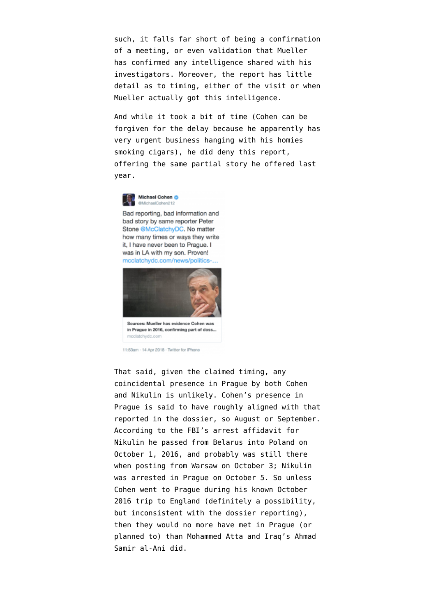such, it falls far short of being a confirmation of a meeting, or even validation that Mueller has confirmed any intelligence shared with his investigators. Moreover, the report has little detail as to timing, either of the visit or when Mueller actually got this intelligence.

And while it took a bit of time (Cohen can be forgiven for the delay because he [apparently has](https://www.thedailybeast.com/michael-cohen-may-learn-the-hard-way-that-theres-no-such-thing-as-consigliere-client-privilege?ref=scroll) [very urgent business](https://www.thedailybeast.com/michael-cohen-may-learn-the-hard-way-that-theres-no-such-thing-as-consigliere-client-privilege?ref=scroll) hanging with his homies smoking cigars), he [did deny](https://twitter.com/MichaelCohen212/status/985184355382431744) this report, offering the same partial story he offered last year.



Bad reporting, bad information and bad story by same reporter Peter Stone @McClatchyDC. No matter how many times or ways they write it, I have never been to Prague. I was in LA with my son. Proven! mcclatchydc.com/news/politics-..



in Prague in 2016, confirming part of doss... mcclatchydc.c

11:53am - 14 Apr 2018 - Twitter for iPhone

That said, given the claimed timing, any coincidental presence in Prague by both Cohen and Nikulin is unlikely. Cohen's presence in Prague is said to have roughly aligned with that reported in the dossier, so August or September. According to the FBI's arrest affidavit for Nikulin he passed from Belarus into Poland on October 1, 2016, and probably was still there when posting from Warsaw on October 3; Nikulin was arrested in Prague on October 5. So unless Cohen went to Prague during his known October 2016 trip to England (definitely a possibility, but inconsistent with the dossier reporting), then they would no more have met in Prague (or planned to) than Mohammed Atta and Iraq's Ahmad Samir al-Ani did.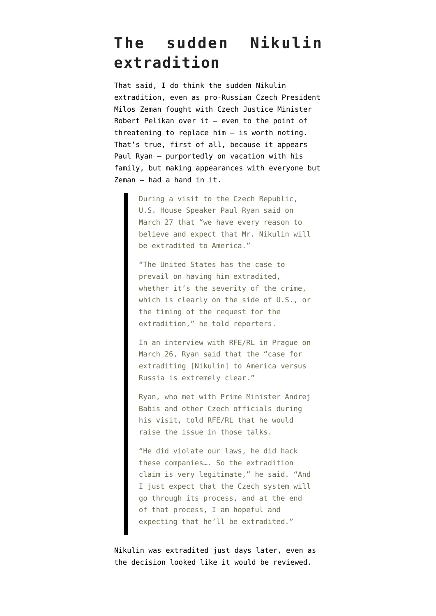### **The sudden Nikulin extradition**

That said, I do think the sudden Nikulin extradition, even as pro-Russian Czech President Milos Zeman [fought](https://www.rferl.org/a/czech-president-zeman-russian-hacker-nikulin-lobbying-extradition/29060440.html) with Czech Justice Minister Robert Pelikan over it — even to the point of threatening to replace him — is worth noting. That's true, first of all, because it appears Paul Ryan — purportedly on vacation with his family, but [making appearances with everyone but](https://www.rferl.org/a/us-house-speaker-paul-ryan-calls-for-extradition-alleged-russian-hacker-nikulin-united-states-czech-visit-zeman/29129441.html) [Zeman](https://www.rferl.org/a/us-house-speaker-paul-ryan-calls-for-extradition-alleged-russian-hacker-nikulin-united-states-czech-visit-zeman/29129441.html) — had a hand in it.

> During a visit to the Czech Republic, U.S. House Speaker Paul Ryan said on March 27 that "we have every reason to believe and expect that Mr. Nikulin will be extradited to America."

> "The United States has the case to prevail on having him extradited, whether it's the severity of the crime, which is clearly on the side of U.S., or the timing of the request for the extradition," he told reporters.

> In an interview with RFE/RL in Prague on March 26, Ryan said that the "case for extraditing [Nikulin] to America versus Russia is extremely clear."

> Ryan, who met with Prime Minister Andrej Babis and other Czech officials during his visit, told RFE/RL that he would raise the issue in those talks.

> "He did violate our laws, he did hack these companies…. So the extradition claim is very legitimate," he said. "And I just expect that the Czech system will go through its process, and at the end of that process, I am hopeful and expecting that he'll be extradited."

Nikulin was extradited just days later, even as the decision looked like it would be reviewed.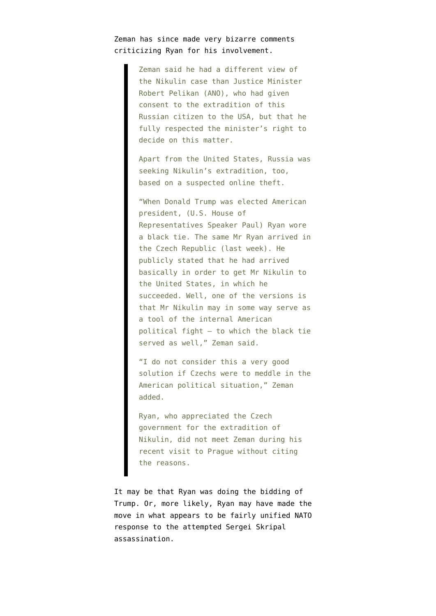### Zeman has since [made very bizarre comments](http://praguemonitor.com/2018/04/06/zeman-criticises-nikulins-extradition-usa) criticizing Ryan for his involvement.

Zeman said he had a different view of the Nikulin case than Justice Minister Robert Pelikan (ANO), who had given consent to the extradition of this Russian citizen to the USA, but that he fully respected the minister's right to decide on this matter.

Apart from the United States, Russia was seeking Nikulin's extradition, too, based on a suspected online theft.

"When Donald Trump was elected American president, (U.S. House of Representatives Speaker Paul) Ryan wore a black tie. The same Mr Ryan arrived in the Czech Republic (last week). He publicly stated that he had arrived basically in order to get Mr Nikulin to the United States, in which he succeeded. Well, one of the versions is that Mr Nikulin may in some way serve as a tool of the internal American political fight – to which the black tie served as well," Zeman said.

"I do not consider this a very good solution if Czechs were to meddle in the American political situation," Zeman added.

Ryan, who appreciated the Czech government for the extradition of Nikulin, did not meet Zeman during his recent visit to Prague without citing the reasons.

It may be that Ryan was doing the bidding of Trump. Or, more likely, Ryan may have made the move in what appears to be fairly unified NATO response to the attempted Sergei Skripal assassination.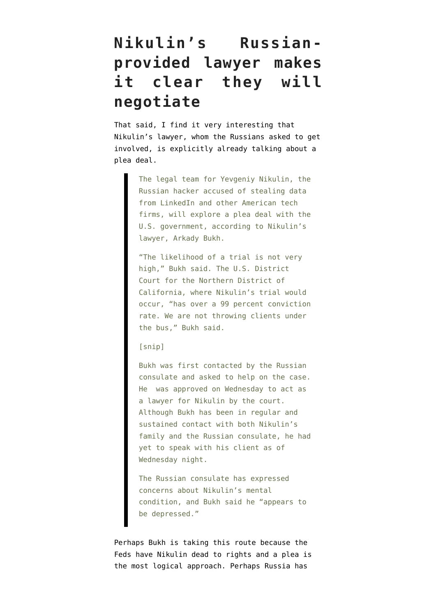## **Nikulin's Russianprovided lawyer makes it clear they will negotiate**

That said, I find it very interesting that Nikulin's lawyer, whom the Russians asked to get involved, is [explicitly already talking](https://www.cyberscoop.com/yevgeniy-nikulin-russian-hacker-linkedin-breach-plea-deal/) about a plea deal.

> The legal team for Yevgeniy Nikulin, the Russian hacker accused of stealing data from LinkedIn and other American tech firms, will explore a plea deal with the U.S. government, according to Nikulin's lawyer, Arkady Bukh.

> "The likelihood of a trial is not very high," Bukh said. The U.S. District Court for the Northern District of California, where Nikulin's trial would occur, "has over a 99 percent conviction rate. We are not throwing clients under the bus," Bukh said.

#### [snip]

Bukh was first contacted by the Russian consulate and asked to help on the case. He was approved on Wednesday to act as a lawyer for Nikulin by the court. Although Bukh has been in regular and sustained contact with both Nikulin's family and the Russian consulate, he had yet to speak with his client as of Wednesday night.

The Russian consulate has expressed concerns about Nikulin's mental condition, and Bukh said he "appears to be depressed."

Perhaps [Bukh](https://www.nyccriminallawyer.com/) is taking this route because the Feds have Nikulin dead to rights and a plea is the most logical approach. Perhaps Russia has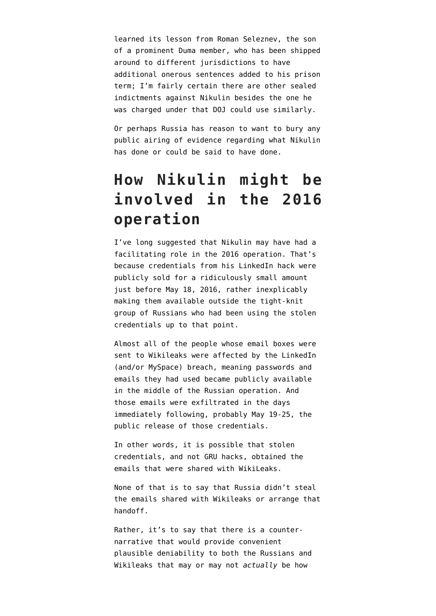learned its lesson from Roman Seleznev, the son of a prominent Duma member, who has been [shipped](https://krebsonsecurity.com/tag/roman-seleznev/) [around to different jurisdictions](https://krebsonsecurity.com/tag/roman-seleznev/) to have additional onerous sentences added to his prison term; I'm fairly certain there are other sealed indictments against Nikulin besides the one he was charged under that DOJ could use similarly.

Or perhaps Russia has reason to want to bury any public airing of evidence regarding what Nikulin has done or could be said to have done.

### **How Nikulin might be involved in the 2016 operation**

I've long suggested that Nikulin may have had a facilitating role in the 2016 operation. That's because credentials from his LinkedIn hack were publicly sold for a ridiculously small amount just before May 18, 2016, rather inexplicably making them available outside the tight-knit group of Russians who had been using the stolen credentials up to that point.

Almost all of the people whose email boxes were sent to Wikileaks were affected by the LinkedIn (and/or MySpace) breach, meaning passwords and emails they had used became publicly available in the middle of the Russian operation. And those [emails were exfiltrated](https://gist.github.com/wh1sks/06613e1156d18c3a81895e5f3a6f291c) in the days immediately following, probably May 19-25, the public release of those credentials.

In other words, it is possible that stolen credentials, and not GRU hacks, obtained the emails that were shared with WikiLeaks.

None of that is to say that Russia didn't steal the emails shared with Wikileaks or arrange that handoff.

Rather, it's to say that there is a counternarrative that would provide convenient plausible deniability to both the Russians and Wikileaks that may or may not *actually* be how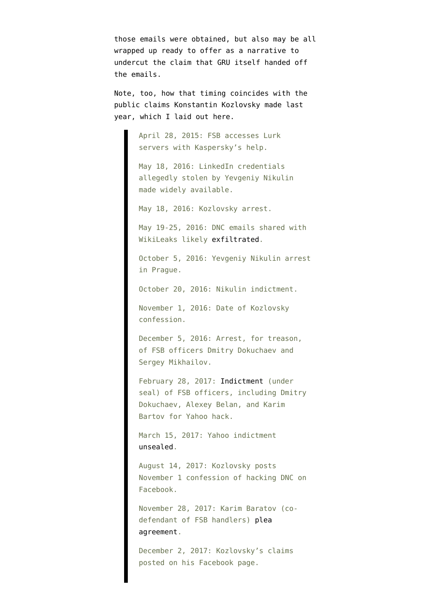those emails were obtained, but also may be all wrapped up ready to offer as a narrative to undercut the claim that GRU itself handed off the emails.

Note, too, how that timing coincides with the public claims Konstantin Kozlovsky made last year, which I laid out [here](https://www.emptywheel.net/2017/12/12/why-is-russia-finally-letting-dubious-details-of-its-involvement-in-dnc-hack-out/).

> April 28, 2015: FSB accesses Lurk servers with Kaspersky's help.

May 18, 2016: LinkedIn credentials allegedly stolen by Yevgeniy Nikulin made widely available.

May 18, 2016: Kozlovsky arrest.

May 19-25, 2016: DNC emails shared with WikiLeaks likely [exfiltrated](https://gist.github.com/wh1sks/06613e1156d18c3a81895e5f3a6f291c).

October 5, 2016: Yevgeniy Nikulin arrest in Prague.

October 20, 2016: Nikulin indictment.

November 1, 2016: Date of Kozlovsky confession.

December 5, 2016: Arrest, for treason, of FSB officers Dmitry Dokuchaev and Sergey Mikhailov.

February 28, 2017: [Indictment](https://www.justice.gov/opa/press-release/file/948201/download) (under seal) of FSB officers, including Dmitry Dokuchaev, Alexey Belan, and Karim Bartov for Yahoo hack.

March 15, 2017: Yahoo indictment [unsealed.](https://www.emptywheel.net/2017/03/15/the-yahoo-indictment-erectile-dysfunction-marketing-plus-stuff-nsa-does-all-the-time/)

August 14, 2017: Kozlovsky posts November 1 confession of hacking DNC on Facebook.

November 28, 2017: Karim Baratov (codefendant of FSB handlers) [plea](https://www.justice.gov/opa/pr/canadian-hacker-who-conspired-and-aided-russian-fsb-officers-pleads-guilty) [agreement](https://www.justice.gov/opa/pr/canadian-hacker-who-conspired-and-aided-russian-fsb-officers-pleads-guilty).

December 2, 2017: Kozlovsky's claims posted on his Facebook page.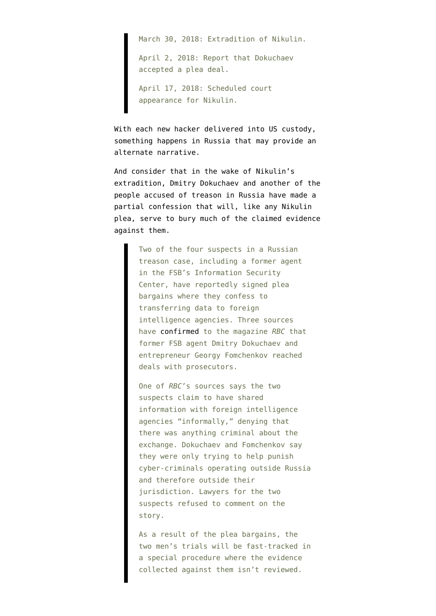March 30, 2018: Extradition of Nikulin.

April 2, 2018: Report that Dokuchaev accepted a plea deal.

April 17, 2018: Scheduled court appearance for Nikulin.

With each new hacker delivered into US custody, something happens in Russia that may provide an alternate narrative.

And consider that in the wake of Nikulin's extradition, Dmitry Dokuchaev and another of the people accused of treason in Russia [have made a](https://meduza.io/en/feature/2018/04/03/two-russian-treason-suspects-including-a-former-fsb-agent-sign-partial-plea-bargains) [partial confession](https://meduza.io/en/feature/2018/04/03/two-russian-treason-suspects-including-a-former-fsb-agent-sign-partial-plea-bargains) that will, like any Nikulin plea, serve to bury much of the claimed evidence against them.

> Two of the four suspects in a Russian treason case, including a former agent in the FSB's Information Security Center, have reportedly signed plea bargains where they confess to transferring data to foreign intelligence agencies. Three sources have [confirmed](https://www.rbc.ru/technology_and_media/02/04/2018/5abd1a659a79471af3f664fd) to the magazine *RBC* that former FSB agent Dmitry Dokuchaev and entrepreneur Georgy Fomchenkov reached deals with prosecutors.

One of *RBC*'s sources says the two suspects claim to have shared information with foreign intelligence agencies "informally," denying that there was anything criminal about the exchange. Dokuchaev and Fomchenkov say they were only trying to help punish cyber-criminals operating outside Russia and therefore outside their jurisdiction. Lawyers for the two suspects refused to comment on the story.

As a result of the plea bargains, the two men's trials will be fast-tracked in a special procedure where the evidence collected against them isn't reviewed.